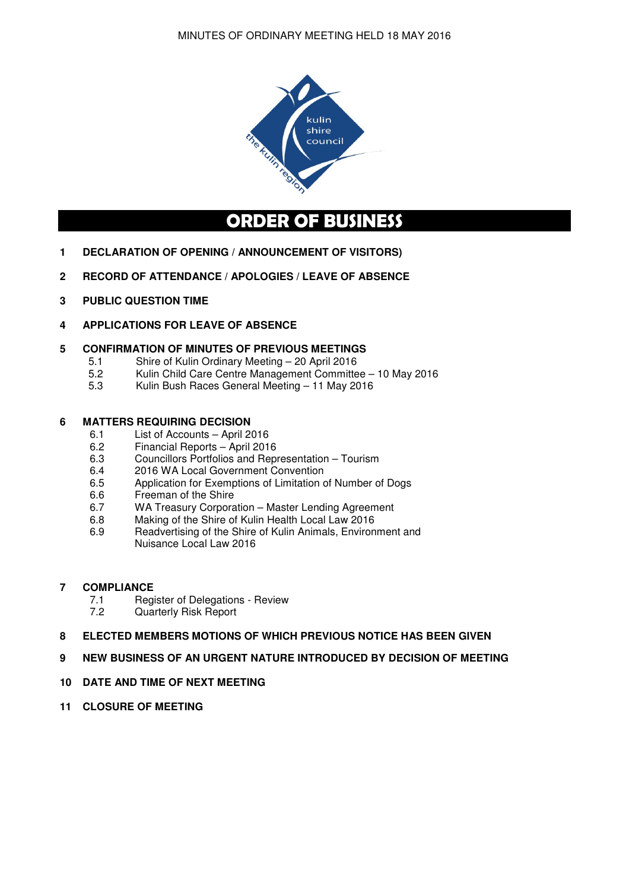

# **ORDER OF BUSINESS**

- **1 DECLARATION OF OPENING / ANNOUNCEMENT OF VISITORS)**
- **2 RECORD OF ATTENDANCE / APOLOGIES / LEAVE OF ABSENCE**
- **3 PUBLIC QUESTION TIME**
- **4 APPLICATIONS FOR LEAVE OF ABSENCE**

#### **5 CONFIRMATION OF MINUTES OF PREVIOUS MEETINGS**

- 5.1 Shire of Kulin Ordinary Meeting 20 April 2016
- 5.2 Kulin Child Care Centre Management Committee 10 May 2016
- 5.3 Kulin Bush Races General Meeting 11 May 2016

# **6 MATTERS REQUIRING DECISION**<br>6.1 List of Accounts – April 2

- 6.1 List of Accounts April 2016<br>6.2 Financial Reports April 201
- 6.2 Financial Reports April 2016
- 6.3 Councillors Portfolios and Representation Tourism
- 6.4 2016 WA Local Government Convention
- 6.5 Application for Exemptions of Limitation of Number of Dogs
- 6.6 Freeman of the Shire
- 6.7 WA Treasury Corporation Master Lending Agreement
- 6.8 Making of the Shire of Kulin Health Local Law 2016
- 6.9 Readvertising of the Shire of Kulin Animals, Environment and Nuisance Local Law 2016

#### **7 COMPLIANCE**

- 7.1 Register of Delegations Review
- 7.2 Quarterly Risk Report

#### **8 ELECTED MEMBERS MOTIONS OF WHICH PREVIOUS NOTICE HAS BEEN GIVEN**

- **9 NEW BUSINESS OF AN URGENT NATURE INTRODUCED BY DECISION OF MEETING**
- **10 DATE AND TIME OF NEXT MEETING**
- **11 CLOSURE OF MEETING**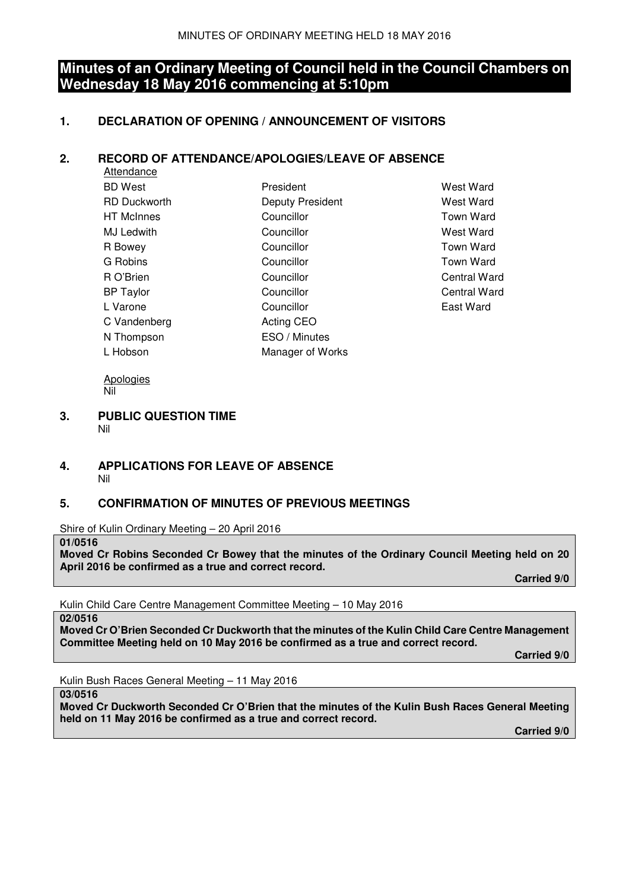# **Minutes of an Ordinary Meeting of Council held in the Council Chambers on Wednesday 18 May 2016 commencing at 5:10pm**

# **1. DECLARATION OF OPENING / ANNOUNCEMENT OF VISITORS**

# **2. RECORD OF ATTENDANCE/APOLOGIES/LEAVE OF ABSENCE**

| Attendance          |                         |                  |
|---------------------|-------------------------|------------------|
| <b>BD</b> West      | President               | West Ward        |
| <b>RD</b> Duckworth | <b>Deputy President</b> | West Ward        |
| <b>HT</b> McInnes   | Councillor              | <b>Town Ward</b> |
| <b>MJ Ledwith</b>   | Councillor              | West Ward        |
| R Bowey             | Councillor              | <b>Town Ward</b> |
| G Robins            | Councillor              | <b>Town Ward</b> |
| R O'Brien           | Councillor              | Central Ward     |
| <b>BP</b> Taylor    | Councillor              | Central Ward     |
| L Varone            | Councillor              | East Ward        |
| C Vandenberg        | Acting CEO              |                  |
| N Thompson          | ESO / Minutes           |                  |
| L Hobson            | Manager of Works        |                  |
|                     |                         |                  |

 Apologies Nil

#### **3. PUBLIC QUESTION TIME**  Nil

### **4. APPLICATIONS FOR LEAVE OF ABSENCE**  Nil

# **5. CONFIRMATION OF MINUTES OF PREVIOUS MEETINGS**

Shire of Kulin Ordinary Meeting – 20 April 2016

#### **01/0516**

**Moved Cr Robins Seconded Cr Bowey that the minutes of the Ordinary Council Meeting held on 20 April 2016 be confirmed as a true and correct record.** 

 **Carried 9/0** 

Kulin Child Care Centre Management Committee Meeting – 10 May 2016

**02/0516** 

**Moved Cr O'Brien Seconded Cr Duckworth that the minutes of the Kulin Child Care Centre Management Committee Meeting held on 10 May 2016 be confirmed as a true and correct record.** 

 *Carried 9/0* $\sim$  **2000**  $\sim$  **2000**  $\sim$  **2000**  $\sim$  **2000**  $\sim$  **2000**  $\sim$  **2000**  $\sim$  **2000**  $\sim$  **2000**  $\sim$  **2000**  $\sim$  **2000**  $\sim$  **2000**  $\sim$  **2000**  $\sim$  **2000**  $\sim$  **2000**  $\sim$  **2000**  $\sim$  **2000**  $\sim$  **2000**  $\sim$  **2000**  $\sim$  **2000**  $\sim$  **2000**  $\sim$  **2** 

Kulin Bush Races General Meeting – 11 May 2016

**03/0516** 

**Moved Cr Duckworth Seconded Cr O'Brien that the minutes of the Kulin Bush Races General Meeting held on 11 May 2016 be confirmed as a true and correct record.**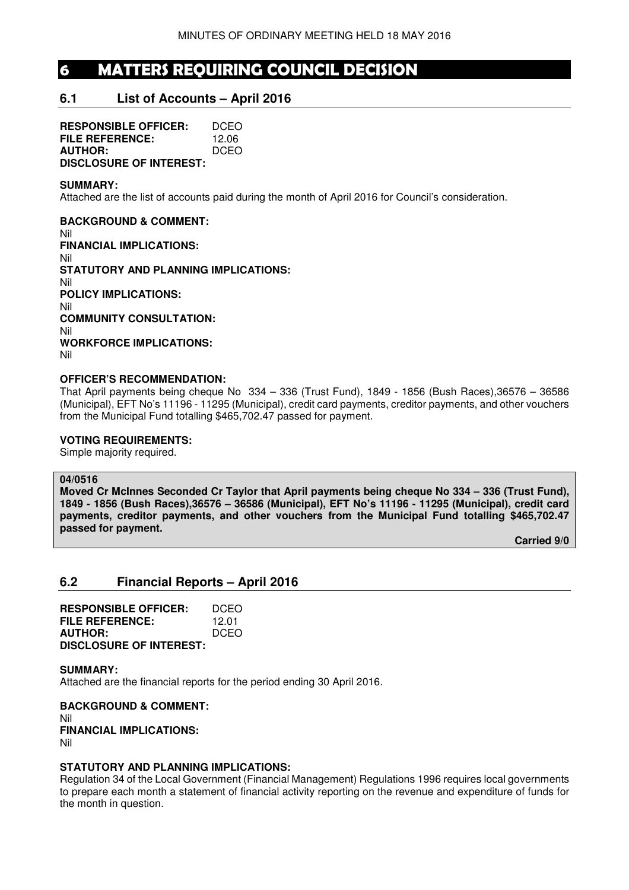# **6 MATTERS REQUIRING COUNCIL DECISION**

# **6.1 List of Accounts – April 2016**

**RESPONSIBLE OFFICER:** DCEO **FILE REFERENCE:** 12.06 **AUTHOR:** DCEO **DISCLOSURE OF INTEREST:** 

#### **SUMMARY:**

Attached are the list of accounts paid during the month of April 2016 for Council's consideration.

**BACKGROUND & COMMENT:**  Nil **FINANCIAL IMPLICATIONS:**  Nil **STATUTORY AND PLANNING IMPLICATIONS:**  Nil **POLICY IMPLICATIONS:**  Nil **COMMUNITY CONSULTATION:**  Nil **WORKFORCE IMPLICATIONS:**  Nil

#### **OFFICER'S RECOMMENDATION:**

That April payments being cheque No 334 – 336 (Trust Fund), 1849 - 1856 (Bush Races),36576 – 36586 (Municipal), EFT No's 11196 - 11295 (Municipal), credit card payments, creditor payments, and other vouchers from the Municipal Fund totalling \$465,702.47 passed for payment.

#### **VOTING REQUIREMENTS:**

Simple majority required.

#### **04/0516**

**Moved Cr McInnes Seconded Cr Taylor that April payments being cheque No 334 – 336 (Trust Fund), 1849 - 1856 (Bush Races),36576 – 36586 (Municipal), EFT No's 11196 - 11295 (Municipal), credit card payments, creditor payments, and other vouchers from the Municipal Fund totalling \$465,702.47 passed for payment.** 

 **Carried 9/0** 

#### **6.2 Financial Reports – April 2016**

**RESPONSIBLE OFFICER:** DCEO **FILE REFERENCE:** 12.01 **AUTHOR:** DCEO **DISCLOSURE OF INTEREST:** 

#### **SUMMARY:**

Attached are the financial reports for the period ending 30 April 2016.

**BACKGROUND & COMMENT:**  Nil **FINANCIAL IMPLICATIONS:**  Nil

#### **STATUTORY AND PLANNING IMPLICATIONS:**

Regulation 34 of the Local Government (Financial Management) Regulations 1996 requires local governments to prepare each month a statement of financial activity reporting on the revenue and expenditure of funds for the month in question.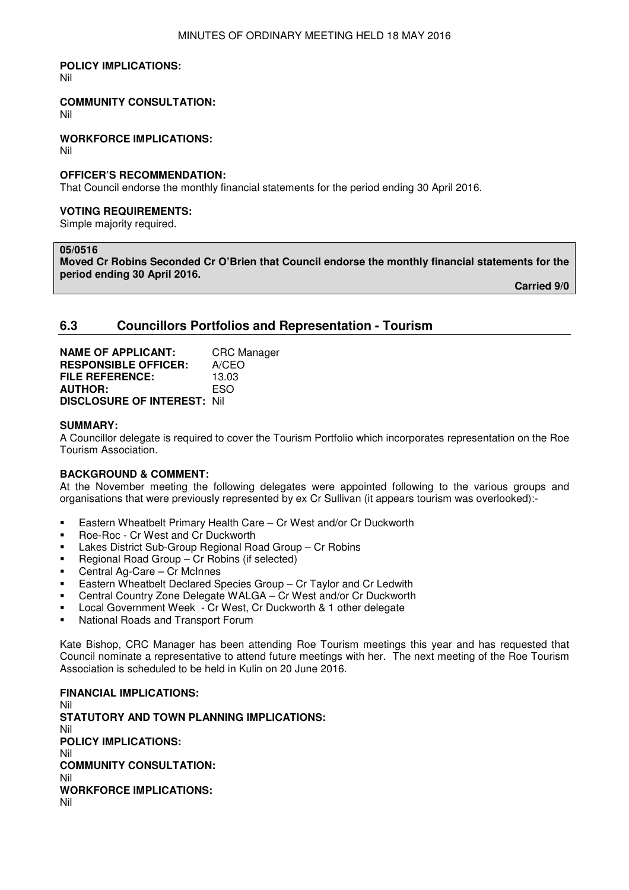#### **POLICY IMPLICATIONS:**

Nil

#### **COMMUNITY CONSULTATION:**

Nil

**WORKFORCE IMPLICATIONS:** 

Nil

#### **OFFICER'S RECOMMENDATION:**

That Council endorse the monthly financial statements for the period ending 30 April 2016.

#### **VOTING REQUIREMENTS:**

Simple majority required.

#### **05/0516**

**Moved Cr Robins Seconded Cr O'Brien that Council endorse the monthly financial statements for the period ending 30 April 2016.** 

 **Carried 9/0** 

# **6.3 Councillors Portfolios and Representation - Tourism**

| <b>NAME OF APPLICANT:</b>           | <b>CRC</b> Manager |
|-------------------------------------|--------------------|
| <b>RESPONSIBLE OFFICER:</b>         | A/CEO              |
| <b>FILE REFERENCE:</b>              | 13.03              |
| <b>AUTHOR:</b>                      | FSO                |
| <b>DISCLOSURE OF INTEREST: Nill</b> |                    |

#### **SUMMARY:**

A Councillor delegate is required to cover the Tourism Portfolio which incorporates representation on the Roe Tourism Association.

#### **BACKGROUND & COMMENT:**

At the November meeting the following delegates were appointed following to the various groups and organisations that were previously represented by ex Cr Sullivan (it appears tourism was overlooked):-

- **Eastern Wheatbelt Primary Health Care Cr West and/or Cr Duckworth**
- Roe-Roc Cr West and Cr Duckworth
- **-** Lakes District Sub-Group Regional Road Group Cr Robins
- Regional Road Group Cr Robins (if selected)
- Central Ag-Care Cr McInnes
- **Eastern Wheatbelt Declared Species Group Cr Taylor and Cr Ledwith**
- Central Country Zone Delegate WALGA Cr West and/or Cr Duckworth
- Local Government Week Cr West, Cr Duckworth & 1 other delegate
- National Roads and Transport Forum

Kate Bishop, CRC Manager has been attending Roe Tourism meetings this year and has requested that Council nominate a representative to attend future meetings with her. The next meeting of the Roe Tourism Association is scheduled to be held in Kulin on 20 June 2016.

### **FINANCIAL IMPLICATIONS:**

Nil **STATUTORY AND TOWN PLANNING IMPLICATIONS:**  Nil **POLICY IMPLICATIONS:** Nil **COMMUNITY CONSULTATION:** Nil **WORKFORCE IMPLICATIONS:** Nil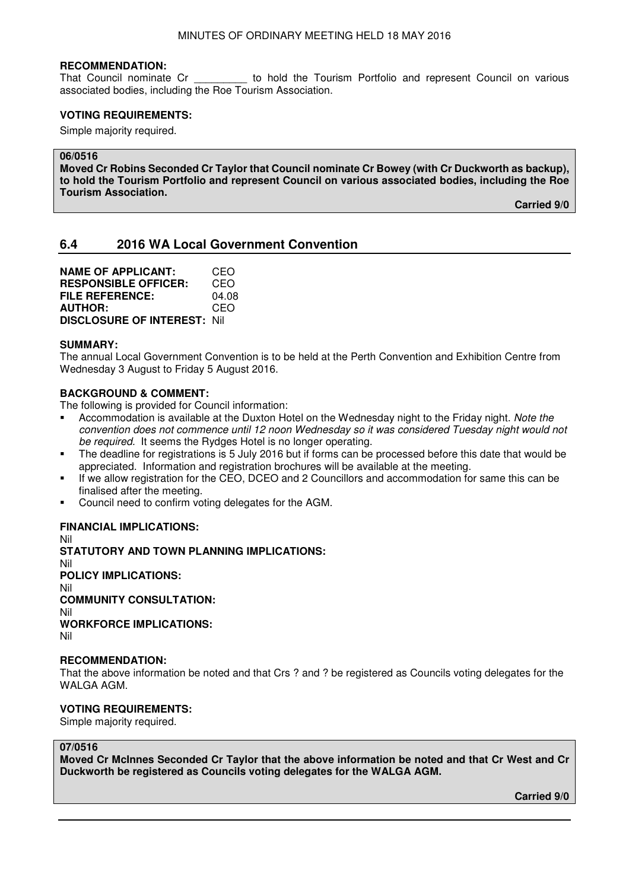#### **RECOMMENDATION:**

That Council nominate Cr **busine is to hold the Tourism Portfolio and represent Council on various** associated bodies, including the Roe Tourism Association.

#### **VOTING REQUIREMENTS:**

Simple majority required.

#### **06/0516**

**Moved Cr Robins Seconded Cr Taylor that Council nominate Cr Bowey (with Cr Duckworth as backup), to hold the Tourism Portfolio and represent Council on various associated bodies, including the Roe Tourism Association.** 

 **Carried 9/0** 

# **6.4 2016 WA Local Government Convention**

| <b>NAME OF APPLICANT:</b>           | CEO   |
|-------------------------------------|-------|
| <b>RESPONSIBLE OFFICER:</b>         | CEO   |
| <b>FILE REFERENCE:</b>              | 04.08 |
| <b>AUTHOR:</b>                      | CEO   |
| <b>DISCLOSURE OF INTEREST: Nill</b> |       |

#### **SUMMARY:**

The annual Local Government Convention is to be held at the Perth Convention and Exhibition Centre from Wednesday 3 August to Friday 5 August 2016.

#### **BACKGROUND & COMMENT:**

The following is provided for Council information:

- Accommodation is available at the Duxton Hotel on the Wednesday night to the Friday night. *Note the convention does not commence until 12 noon Wednesday so it was considered Tuesday night would not be required.* It seems the Rydges Hotel is no longer operating.
- The deadline for registrations is 5 July 2016 but if forms can be processed before this date that would be appreciated. Information and registration brochures will be available at the meeting.
- If we allow registration for the CEO, DCEO and 2 Councillors and accommodation for same this can be finalised after the meeting.
- Council need to confirm voting delegates for the AGM.

#### **FINANCIAL IMPLICATIONS:**

Nil **STATUTORY AND TOWN PLANNING IMPLICATIONS:**  Nil **POLICY IMPLICATIONS:** Nil **COMMUNITY CONSULTATION:** Nil **WORKFORCE IMPLICATIONS:** Nil

#### **RECOMMENDATION:**

That the above information be noted and that Crs ? and ? be registered as Councils voting delegates for the WALGA AGM.

#### **VOTING REQUIREMENTS:**

Simple majority required.

#### **07/0516**

**Moved Cr McInnes Seconded Cr Taylor that the above information be noted and that Cr West and Cr Duckworth be registered as Councils voting delegates for the WALGA AGM.**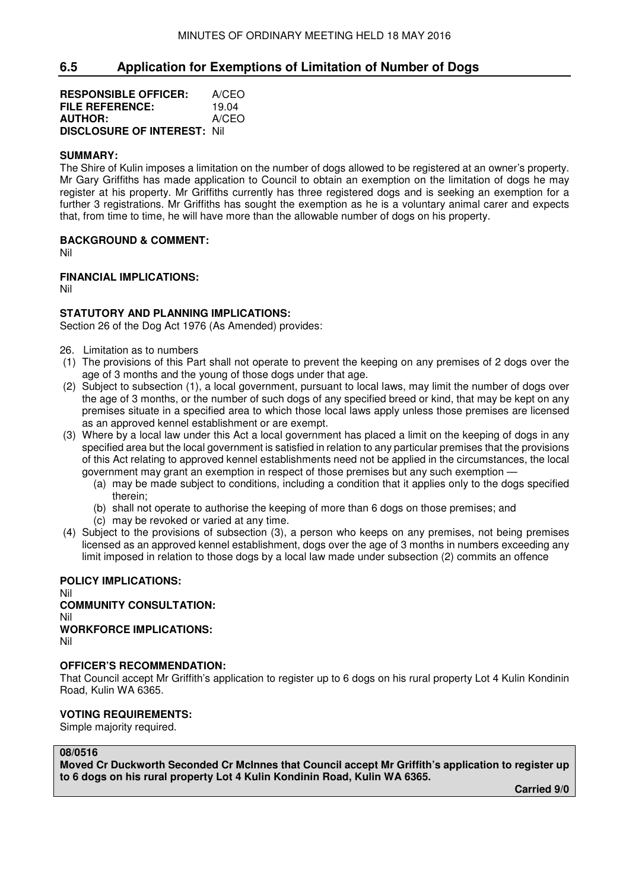# **6.5 Application for Exemptions of Limitation of Number of Dogs**

| <b>RESPONSIBLE OFFICER:</b>         | A/CEO |
|-------------------------------------|-------|
| FILE REFERENCE:                     | 19.04 |
| <b>AUTHOR:</b>                      | A/CEO |
| <b>DISCLOSURE OF INTEREST: Nill</b> |       |

#### **SUMMARY:**

The Shire of Kulin imposes a limitation on the number of dogs allowed to be registered at an owner's property. Mr Gary Griffiths has made application to Council to obtain an exemption on the limitation of dogs he may register at his property. Mr Griffiths currently has three registered dogs and is seeking an exemption for a further 3 registrations. Mr Griffiths has sought the exemption as he is a voluntary animal carer and expects that, from time to time, he will have more than the allowable number of dogs on his property.

### **BACKGROUND & COMMENT:**

Nil

#### **FINANCIAL IMPLICATIONS:**

Nil

#### **STATUTORY AND PLANNING IMPLICATIONS:**

Section 26 of the Dog Act 1976 (As Amended) provides:

- 26. Limitation as to numbers
- (1) The provisions of this Part shall not operate to prevent the keeping on any premises of 2 dogs over the age of 3 months and the young of those dogs under that age.
- (2) Subject to subsection (1), a local government, pursuant to local laws, may limit the number of dogs over the age of 3 months, or the number of such dogs of any specified breed or kind, that may be kept on any premises situate in a specified area to which those local laws apply unless those premises are licensed as an approved kennel establishment or are exempt.
- (3) Where by a local law under this Act a local government has placed a limit on the keeping of dogs in any specified area but the local government is satisfied in relation to any particular premises that the provisions of this Act relating to approved kennel establishments need not be applied in the circumstances, the local government may grant an exemption in respect of those premises but any such exemption —
	- (a) may be made subject to conditions, including a condition that it applies only to the dogs specified therein;
	- (b) shall not operate to authorise the keeping of more than 6 dogs on those premises; and
	- (c) may be revoked or varied at any time.
- (4) Subject to the provisions of subsection (3), a person who keeps on any premises, not being premises licensed as an approved kennel establishment, dogs over the age of 3 months in numbers exceeding any limit imposed in relation to those dogs by a local law made under subsection (2) commits an offence

#### **POLICY IMPLICATIONS:**

Nil **COMMUNITY CONSULTATION:**  Nil **WORKFORCE IMPLICATIONS:**  Nil

#### **OFFICER'S RECOMMENDATION:**

That Council accept Mr Griffith's application to register up to 6 dogs on his rural property Lot 4 Kulin Kondinin Road, Kulin WA 6365.

### **VOTING REQUIREMENTS:**

Simple majority required.

#### **08/0516**

**Moved Cr Duckworth Seconded Cr McInnes that Council accept Mr Griffith's application to register up to 6 dogs on his rural property Lot 4 Kulin Kondinin Road, Kulin WA 6365.**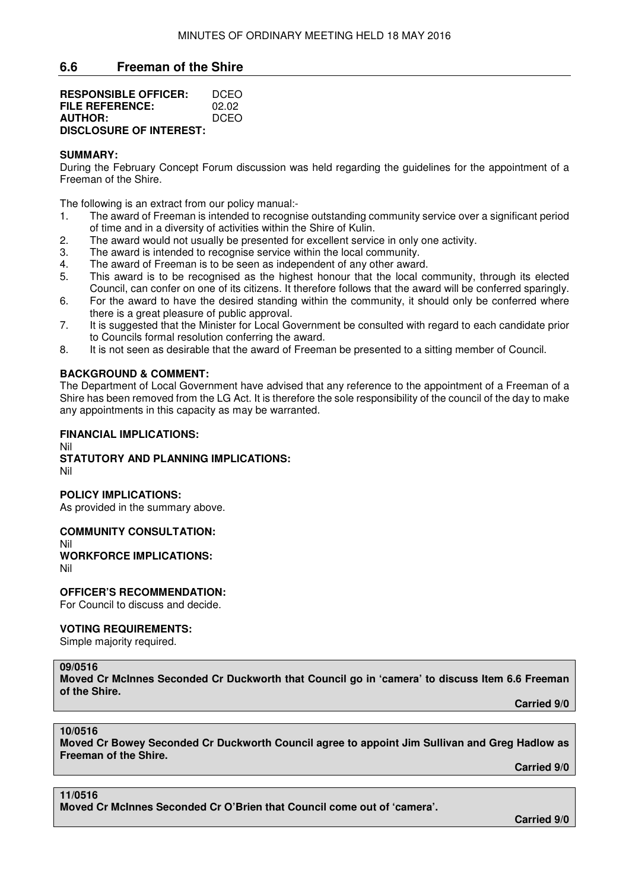### **6.6 Freeman of the Shire**

| <b>RESPONSIBLE OFFICER:</b>    | DCEO  |
|--------------------------------|-------|
| FILE REFERENCE:                | 02.02 |
| <b>AUTHOR:</b>                 | DCEO  |
| <b>DISCLOSURE OF INTEREST:</b> |       |

#### **SUMMARY:**

During the February Concept Forum discussion was held regarding the guidelines for the appointment of a Freeman of the Shire.

The following is an extract from our policy manual:-

- 1. The award of Freeman is intended to recognise outstanding community service over a significant period of time and in a diversity of activities within the Shire of Kulin.
- 2. The award would not usually be presented for excellent service in only one activity.
- 3. The award is intended to recognise service within the local community.<br>4. The award of Freeman is to be seen as independent of any other award
- The award of Freeman is to be seen as independent of any other award.
- 5. This award is to be recognised as the highest honour that the local community, through its elected Council, can confer on one of its citizens. It therefore follows that the award will be conferred sparingly.
- 6. For the award to have the desired standing within the community, it should only be conferred where there is a great pleasure of public approval.
- 7. It is suggested that the Minister for Local Government be consulted with regard to each candidate prior to Councils formal resolution conferring the award.
- 8. It is not seen as desirable that the award of Freeman be presented to a sitting member of Council.

#### **BACKGROUND & COMMENT:**

The Department of Local Government have advised that any reference to the appointment of a Freeman of a Shire has been removed from the LG Act. It is therefore the sole responsibility of the council of the day to make any appointments in this capacity as may be warranted.

#### **FINANCIAL IMPLICATIONS:**

Nil

**STATUTORY AND PLANNING IMPLICATIONS:**  Nil

#### **POLICY IMPLICATIONS:**

As provided in the summary above.

#### **COMMUNITY CONSULTATION:**

Nil

#### **WORKFORCE IMPLICATIONS:**  Nil

#### **OFFICER'S RECOMMENDATION:**

For Council to discuss and decide.

#### **VOTING REQUIREMENTS:**

Simple majority required.

#### **09/0516**

**Moved Cr McInnes Seconded Cr Duckworth that Council go in 'camera' to discuss Item 6.6 Freeman of the Shire.** 

 **Carried 9/0** 

#### **10/0516**

**Moved Cr Bowey Seconded Cr Duckworth Council agree to appoint Jim Sullivan and Greg Hadlow as Freeman of the Shire.** 

 **Carried 9/0** 

#### **11/0516**

**Moved Cr McInnes Seconded Cr O'Brien that Council come out of 'camera'.**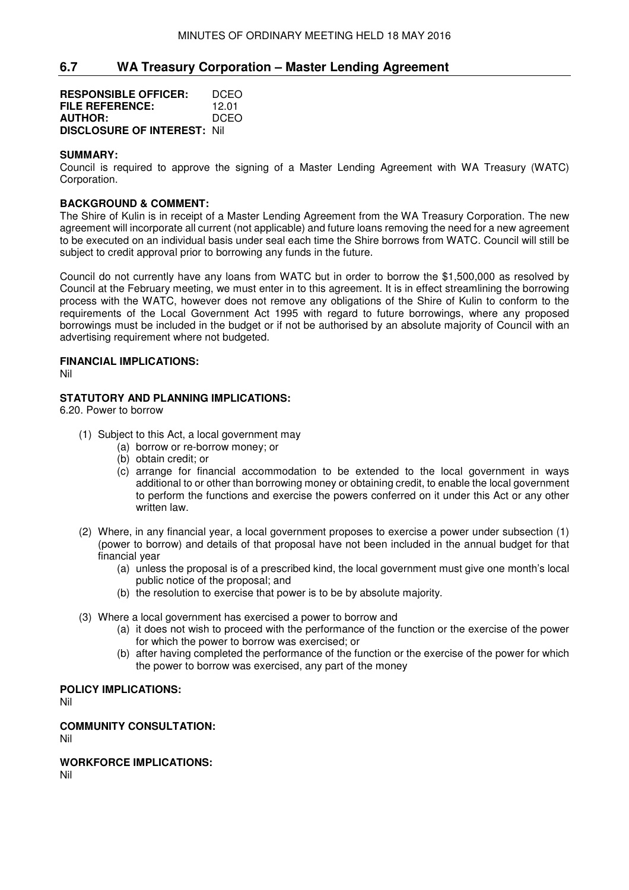# **6.7 WA Treasury Corporation – Master Lending Agreement**

| <b>RESPONSIBLE OFFICER:</b>         | DCEO  |
|-------------------------------------|-------|
| <b>FILE REFERENCE:</b>              | 12.01 |
| <b>AUTHOR:</b>                      | DCEO  |
| <b>DISCLOSURE OF INTEREST: Nill</b> |       |

#### **SUMMARY:**

Council is required to approve the signing of a Master Lending Agreement with WA Treasury (WATC) Corporation.

#### **BACKGROUND & COMMENT:**

The Shire of Kulin is in receipt of a Master Lending Agreement from the WA Treasury Corporation. The new agreement will incorporate all current (not applicable) and future loans removing the need for a new agreement to be executed on an individual basis under seal each time the Shire borrows from WATC. Council will still be subject to credit approval prior to borrowing any funds in the future.

Council do not currently have any loans from WATC but in order to borrow the \$1,500,000 as resolved by Council at the February meeting, we must enter in to this agreement. It is in effect streamlining the borrowing process with the WATC, however does not remove any obligations of the Shire of Kulin to conform to the requirements of the Local Government Act 1995 with regard to future borrowings, where any proposed borrowings must be included in the budget or if not be authorised by an absolute majority of Council with an advertising requirement where not budgeted.

#### **FINANCIAL IMPLICATIONS:**

Nil

#### **STATUTORY AND PLANNING IMPLICATIONS:**

6.20. Power to borrow

- (1) Subject to this Act, a local government may
	- (a) borrow or re-borrow money; or
	- (b) obtain credit; or
	- (c) arrange for financial accommodation to be extended to the local government in ways additional to or other than borrowing money or obtaining credit, to enable the local government to perform the functions and exercise the powers conferred on it under this Act or any other written law.
- (2) Where, in any financial year, a local government proposes to exercise a power under subsection (1) (power to borrow) and details of that proposal have not been included in the annual budget for that financial year
	- (a) unless the proposal is of a prescribed kind, the local government must give one month's local public notice of the proposal; and
	- (b) the resolution to exercise that power is to be by absolute majority.
- (3) Where a local government has exercised a power to borrow and
	- (a) it does not wish to proceed with the performance of the function or the exercise of the power for which the power to borrow was exercised; or
	- (b) after having completed the performance of the function or the exercise of the power for which the power to borrow was exercised, any part of the money

#### **POLICY IMPLICATIONS:**

Nil

**COMMUNITY CONSULTATION:** 

Nil

**WORKFORCE IMPLICATIONS:** 

Nil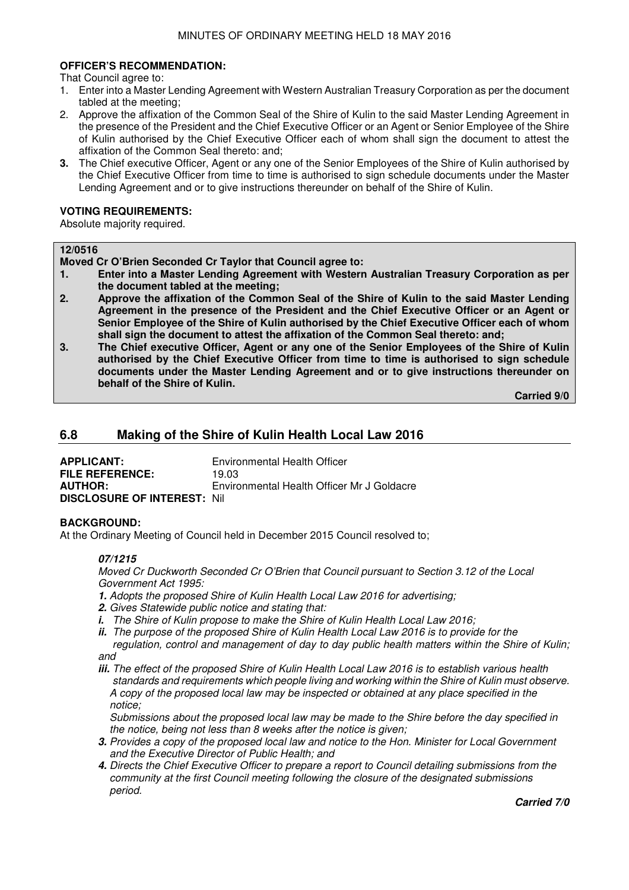#### **OFFICER'S RECOMMENDATION:**

That Council agree to:

- 1. Enter into a Master Lending Agreement with Western Australian Treasury Corporation as per the document tabled at the meeting;
- 2. Approve the affixation of the Common Seal of the Shire of Kulin to the said Master Lending Agreement in the presence of the President and the Chief Executive Officer or an Agent or Senior Employee of the Shire of Kulin authorised by the Chief Executive Officer each of whom shall sign the document to attest the affixation of the Common Seal thereto: and;
- **3.** The Chief executive Officer, Agent or any one of the Senior Employees of the Shire of Kulin authorised by the Chief Executive Officer from time to time is authorised to sign schedule documents under the Master Lending Agreement and or to give instructions thereunder on behalf of the Shire of Kulin.

#### **VOTING REQUIREMENTS:**

Absolute majority required.

## **12/0516**

**Moved Cr O'Brien Seconded Cr Taylor that Council agree to:** 

- **1. Enter into a Master Lending Agreement with Western Australian Treasury Corporation as per the document tabled at the meeting;**
- **2. Approve the affixation of the Common Seal of the Shire of Kulin to the said Master Lending Agreement in the presence of the President and the Chief Executive Officer or an Agent or Senior Employee of the Shire of Kulin authorised by the Chief Executive Officer each of whom shall sign the document to attest the affixation of the Common Seal thereto: and;**
- **3. The Chief executive Officer, Agent or any one of the Senior Employees of the Shire of Kulin authorised by the Chief Executive Officer from time to time is authorised to sign schedule documents under the Master Lending Agreement and or to give instructions thereunder on behalf of the Shire of Kulin.**

 **Carried 9/0** 

# **6.8 Making of the Shire of Kulin Health Local Law 2016**

| <b>APPLICANT:</b>                   | Environmental Health Officer               |
|-------------------------------------|--------------------------------------------|
| <b>FILE REFERENCE:</b>              | 19 Q.3                                     |
| <b>AUTHOR:</b>                      | Environmental Health Officer Mr J Goldacre |
| <b>DISCLOSURE OF INTEREST: Nill</b> |                                            |

#### **BACKGROUND:**

At the Ordinary Meeting of Council held in December 2015 Council resolved to;

#### **07/1215**

*Moved Cr Duckworth Seconded Cr O'Brien that Council pursuant to Section 3.12 of the Local Government Act 1995:* 

- **1.** *Adopts the proposed Shire of Kulin Health Local Law 2016 for advertising;*
- **2.** *Gives Statewide public notice and stating that:*
- **i.** *The Shire of Kulin propose to make the Shire of Kulin Health Local Law 2016;*
- **ii.** *The purpose of the proposed Shire of Kulin Health Local Law 2016 is to provide for the regulation, control and management of day to day public health matters within the Shire of Kulin;*

*and* 

**iii.** *The effect of the proposed Shire of Kulin Health Local Law 2016 is to establish various health*  *standards and requirements which people living and working within the Shire of Kulin must observe. A copy of the proposed local law may be inspected or obtained at any place specified in the notice;* 

 *Submissions about the proposed local law may be made to the Shire before the day specified in the notice, being not less than 8 weeks after the notice is given;* 

- **3.** *Provides a copy of the proposed local law and notice to the Hon. Minister for Local Government and the Executive Director of Public Health; and*
- **4.** *Directs the Chief Executive Officer to prepare a report to Council detailing submissions from the community at the first Council meeting following the closure of the designated submissions period.*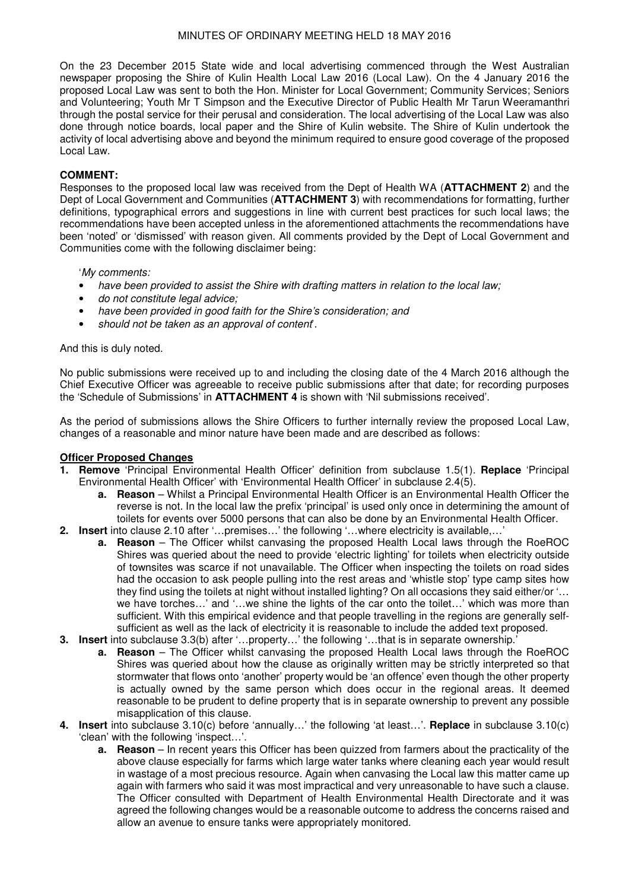On the 23 December 2015 State wide and local advertising commenced through the West Australian newspaper proposing the Shire of Kulin Health Local Law 2016 (Local Law). On the 4 January 2016 the proposed Local Law was sent to both the Hon. Minister for Local Government; Community Services; Seniors and Volunteering; Youth Mr T Simpson and the Executive Director of Public Health Mr Tarun Weeramanthri through the postal service for their perusal and consideration. The local advertising of the Local Law was also done through notice boards, local paper and the Shire of Kulin website. The Shire of Kulin undertook the activity of local advertising above and beyond the minimum required to ensure good coverage of the proposed Local Law.

#### **COMMENT:**

Responses to the proposed local law was received from the Dept of Health WA (**ATTACHMENT 2**) and the Dept of Local Government and Communities (**ATTACHMENT 3**) with recommendations for formatting, further definitions, typographical errors and suggestions in line with current best practices for such local laws; the recommendations have been accepted unless in the aforementioned attachments the recommendations have been 'noted' or 'dismissed' with reason given. All comments provided by the Dept of Local Government and Communities come with the following disclaimer being:

'*My comments:* 

- *have been provided to assist the Shire with drafting matters in relation to the local law;*
- *do not constitute legal advice;*
- *have been provided in good faith for the Shire's consideration; and*
- *should not be taken as an approval of content*'.

And this is duly noted.

No public submissions were received up to and including the closing date of the 4 March 2016 although the Chief Executive Officer was agreeable to receive public submissions after that date; for recording purposes the 'Schedule of Submissions' in **ATTACHMENT 4** is shown with 'Nil submissions received'.

As the period of submissions allows the Shire Officers to further internally review the proposed Local Law, changes of a reasonable and minor nature have been made and are described as follows:

# **Officer Proposed Changes**<br>**1. Remove** 'Principal Envir

- **1. Remove** 'Principal Environmental Health Officer' definition from subclause 1.5(1). **Replace** 'Principal Environmental Health Officer' with 'Environmental Health Officer' in subclause 2.4(5).
	- **a. Reason** Whilst a Principal Environmental Health Officer is an Environmental Health Officer the reverse is not. In the local law the prefix 'principal' is used only once in determining the amount of toilets for events over 5000 persons that can also be done by an Environmental Health Officer.
- **2. Insert** into clause 2.10 after '…premises…' the following '…where electricity is available,…'
	- **a. Reason** The Officer whilst canvasing the proposed Health Local laws through the RoeROC Shires was queried about the need to provide 'electric lighting' for toilets when electricity outside of townsites was scarce if not unavailable. The Officer when inspecting the toilets on road sides had the occasion to ask people pulling into the rest areas and 'whistle stop' type camp sites how they find using the toilets at night without installed lighting? On all occasions they said either/or '… we have torches…' and '…we shine the lights of the car onto the toilet…' which was more than sufficient. With this empirical evidence and that people travelling in the regions are generally selfsufficient as well as the lack of electricity it is reasonable to include the added text proposed.
- **3. Insert** into subclause 3.3(b) after '…property…' the following '…that is in separate ownership.'
	- **a. Reason** The Officer whilst canvasing the proposed Health Local laws through the RoeROC Shires was queried about how the clause as originally written may be strictly interpreted so that stormwater that flows onto 'another' property would be 'an offence' even though the other property is actually owned by the same person which does occur in the regional areas. It deemed reasonable to be prudent to define property that is in separate ownership to prevent any possible misapplication of this clause.
- **4. Insert** into subclause 3.10(c) before 'annually…' the following 'at least…'. **Replace** in subclause 3.10(c) 'clean' with the following 'inspect…'.
	- **a. Reason** In recent years this Officer has been quizzed from farmers about the practicality of the above clause especially for farms which large water tanks where cleaning each year would result in wastage of a most precious resource. Again when canvasing the Local law this matter came up again with farmers who said it was most impractical and very unreasonable to have such a clause. The Officer consulted with Department of Health Environmental Health Directorate and it was agreed the following changes would be a reasonable outcome to address the concerns raised and allow an avenue to ensure tanks were appropriately monitored.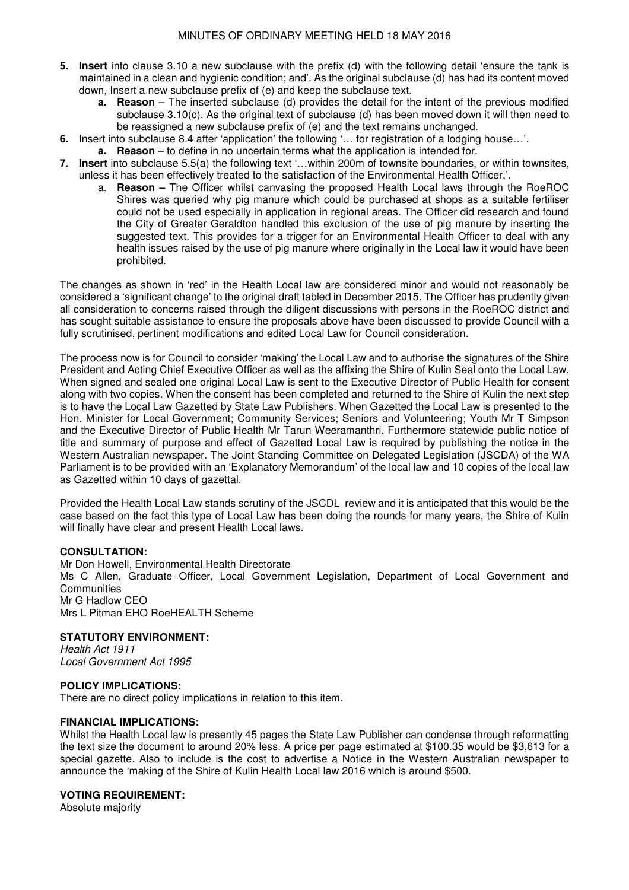- **5. Insert** into clause 3.10 a new subclause with the prefix (d) with the following detail 'ensure the tank is maintained in a clean and hygienic condition; and'. As the original subclause (d) has had its content moved down, Insert a new subclause prefix of (e) and keep the subclause text.
	- **a. Reason** The inserted subclause (d) provides the detail for the intent of the previous modified subclause 3.10(c). As the original text of subclause (d) has been moved down it will then need to be reassigned a new subclause prefix of (e) and the text remains unchanged.
- **6.** Insert into subclause 8.4 after 'application' the following '… for registration of a lodging house…'.
	- **a. Reason** to define in no uncertain terms what the application is intended for.
- **7. Insert** into subclause 5.5(a) the following text '…within 200m of townsite boundaries, or within townsites, unless it has been effectively treated to the satisfaction of the Environmental Health Officer,'.
	- a. **Reason** The Officer whilst canvasing the proposed Health Local laws through the RoeROC Shires was queried why pig manure which could be purchased at shops as a suitable fertiliser could not be used especially in application in regional areas. The Officer did research and found the City of Greater Geraldton handled this exclusion of the use of pig manure by inserting the suggested text. This provides for a trigger for an Environmental Health Officer to deal with any health issues raised by the use of pig manure where originally in the Local law it would have been prohibited.

The changes as shown in 'red' in the Health Local law are considered minor and would not reasonably be considered a 'significant change' to the original draft tabled in December 2015. The Officer has prudently given all consideration to concerns raised through the diligent discussions with persons in the RoeROC district and has sought suitable assistance to ensure the proposals above have been discussed to provide Council with a fully scrutinised, pertinent modifications and edited Local Law for Council consideration.

The process now is for Council to consider 'making' the Local Law and to authorise the signatures of the Shire President and Acting Chief Executive Officer as well as the affixing the Shire of Kulin Seal onto the Local Law. When signed and sealed one original Local Law is sent to the Executive Director of Public Health for consent along with two copies. When the consent has been completed and returned to the Shire of Kulin the next step is to have the Local Law Gazetted by State Law Publishers. When Gazetted the Local Law is presented to the Hon. Minister for Local Government; Community Services; Seniors and Volunteering; Youth Mr T Simpson and the Executive Director of Public Health Mr Tarun Weeramanthri. Furthermore statewide public notice of title and summary of purpose and effect of Gazetted Local Law is required by publishing the notice in the Western Australian newspaper. The Joint Standing Committee on Delegated Legislation (JSCDA) of the WA Parliament is to be provided with an 'Explanatory Memorandum' of the local law and 10 copies of the local law as Gazetted within 10 days of gazettal.

Provided the Health Local Law stands scrutiny of the JSCDL review and it is anticipated that this would be the case based on the fact this type of Local Law has been doing the rounds for many years, the Shire of Kulin will finally have clear and present Health Local laws.

#### **CONSULTATION:**

Mr Don Howell, Environmental Health Directorate Ms C Allen, Graduate Officer, Local Government Legislation, Department of Local Government and Communities Mr G Hadlow CEO Mrs L Pitman EHO RoeHEALTH Scheme

#### **STATUTORY ENVIRONMENT:**

*Health Act 1911 Local Government Act 1995* 

#### **POLICY IMPLICATIONS:**

There are no direct policy implications in relation to this item.

#### **FINANCIAL IMPLICATIONS:**

Whilst the Health Local law is presently 45 pages the State Law Publisher can condense through reformatting the text size the document to around 20% less. A price per page estimated at \$100.35 would be \$3,613 for a special gazette. Also to include is the cost to advertise a Notice in the Western Australian newspaper to announce the 'making of the Shire of Kulin Health Local law 2016 which is around \$500.

#### **VOTING REQUIREMENT:**

Absolute majority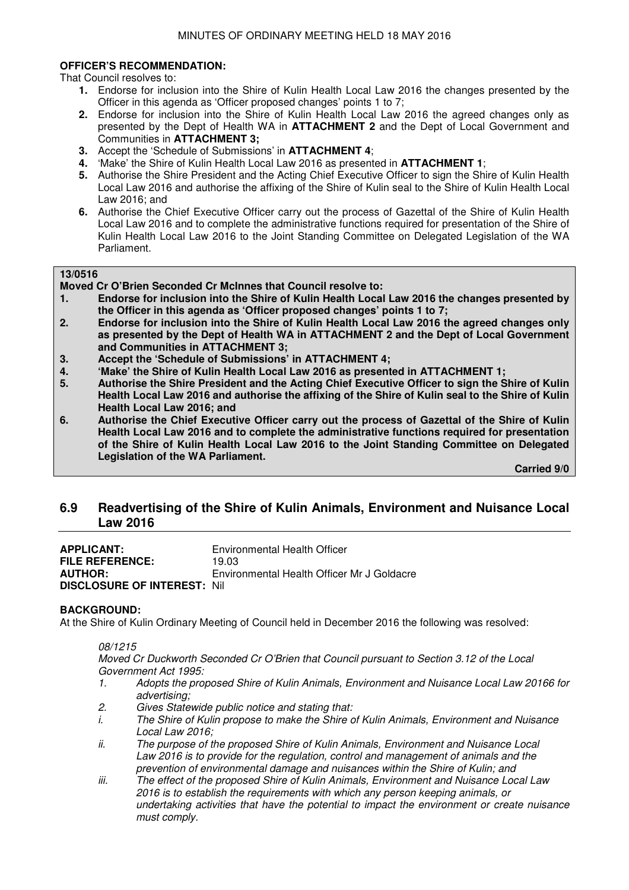#### **OFFICER'S RECOMMENDATION:**

That Council resolves to:

- **1.** Endorse for inclusion into the Shire of Kulin Health Local Law 2016 the changes presented by the Officer in this agenda as 'Officer proposed changes' points 1 to 7;
- **2.** Endorse for inclusion into the Shire of Kulin Health Local Law 2016 the agreed changes only as presented by the Dept of Health WA in **ATTACHMENT 2** and the Dept of Local Government and Communities in **ATTACHMENT 3;**
- **3.** Accept the 'Schedule of Submissions' in **ATTACHMENT 4**;
- **4.** 'Make' the Shire of Kulin Health Local Law 2016 as presented in **ATTACHMENT 1**;
- **5.** Authorise the Shire President and the Acting Chief Executive Officer to sign the Shire of Kulin Health Local Law 2016 and authorise the affixing of the Shire of Kulin seal to the Shire of Kulin Health Local Law 2016; and
- **6.** Authorise the Chief Executive Officer carry out the process of Gazettal of the Shire of Kulin Health Local Law 2016 and to complete the administrative functions required for presentation of the Shire of Kulin Health Local Law 2016 to the Joint Standing Committee on Delegated Legislation of the WA Parliament.

## **13/0516**

**Moved Cr O'Brien Seconded Cr McInnes that Council resolve to:** 

- **1. Endorse for inclusion into the Shire of Kulin Health Local Law 2016 the changes presented by the Officer in this agenda as 'Officer proposed changes' points 1 to 7;**
- **2. Endorse for inclusion into the Shire of Kulin Health Local Law 2016 the agreed changes only as presented by the Dept of Health WA in ATTACHMENT 2 and the Dept of Local Government and Communities in ATTACHMENT 3;**
- **3. Accept the 'Schedule of Submissions' in ATTACHMENT 4;**
- **4. 'Make' the Shire of Kulin Health Local Law 2016 as presented in ATTACHMENT 1;**
- **5. Authorise the Shire President and the Acting Chief Executive Officer to sign the Shire of Kulin Health Local Law 2016 and authorise the affixing of the Shire of Kulin seal to the Shire of Kulin Health Local Law 2016; and**
- **6. Authorise the Chief Executive Officer carry out the process of Gazettal of the Shire of Kulin Health Local Law 2016 and to complete the administrative functions required for presentation of the Shire of Kulin Health Local Law 2016 to the Joint Standing Committee on Delegated Legislation of the WA Parliament.**

 **Carried 9/0** 

# **6.9 Readvertising of the Shire of Kulin Animals, Environment and Nuisance Local Law 2016**

| <b>APPLICANT:</b>                   | Environmental Health Officer               |
|-------------------------------------|--------------------------------------------|
| <b>FILE REFERENCE:</b>              | 19 03                                      |
| <b>AUTHOR:</b>                      | Environmental Health Officer Mr J Goldacre |
| <b>DISCLOSURE OF INTEREST: Nill</b> |                                            |

#### **BACKGROUND:**

At the Shire of Kulin Ordinary Meeting of Council held in December 2016 the following was resolved:

#### *08/1215*

*Moved Cr Duckworth Seconded Cr O'Brien that Council pursuant to Section 3.12 of the Local Government Act 1995:* 

- *1. Adopts the proposed Shire of Kulin Animals, Environment and Nuisance Local Law 20166 for advertising;*
- *2. Gives Statewide public notice and stating that:*
- *i. The Shire of Kulin propose to make the Shire of Kulin Animals, Environment and Nuisance Local Law 2016;*
- *ii. The purpose of the proposed Shire of Kulin Animals, Environment and Nuisance Local Law 2016 is to provide for the regulation, control and management of animals and the prevention of environmental damage and nuisances within the Shire of Kulin; and*
- *iii. The effect of the proposed Shire of Kulin Animals, Environment and Nuisance Local Law 2016 is to establish the requirements with which any person keeping animals, or undertaking activities that have the potential to impact the environment or create nuisance must comply.*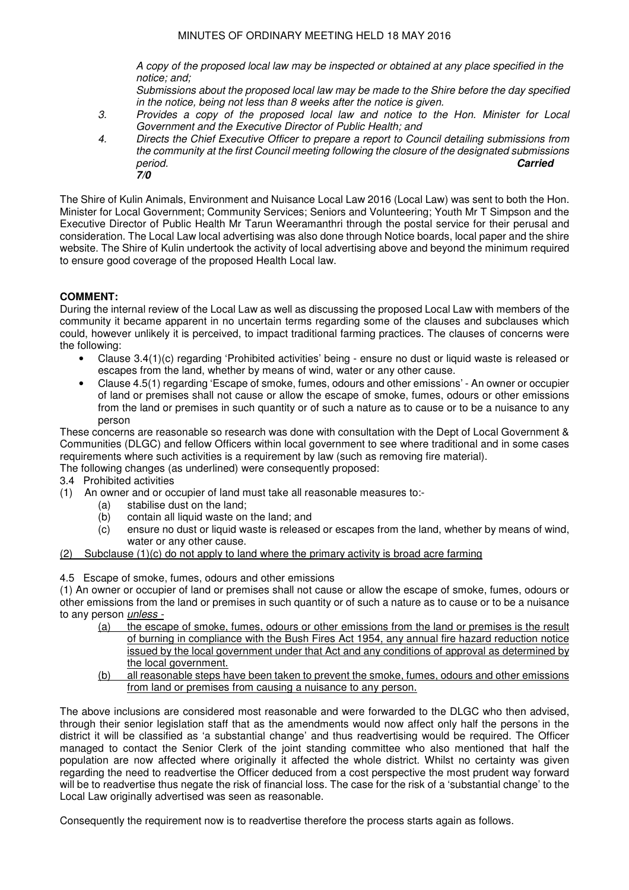*A copy of the proposed local law may be inspected or obtained at any place specified in the notice; and;* 

*Submissions about the proposed local law may be made to the Shire before the day specified in the notice, being not less than 8 weeks after the notice is given.* 

- *3. Provides a copy of the proposed local law and notice to the Hon. Minister for Local Government and the Executive Director of Public Health; and*
- *4. Directs the Chief Executive Officer to prepare a report to Council detailing submissions from the community at the first Council meeting following the closure of the designated submissions period.* **Carried 7/0**

The Shire of Kulin Animals, Environment and Nuisance Local Law 2016 (Local Law) was sent to both the Hon. Minister for Local Government; Community Services; Seniors and Volunteering; Youth Mr T Simpson and the Executive Director of Public Health Mr Tarun Weeramanthri through the postal service for their perusal and consideration. The Local Law local advertising was also done through Notice boards, local paper and the shire website. The Shire of Kulin undertook the activity of local advertising above and beyond the minimum required to ensure good coverage of the proposed Health Local law.

#### **COMMENT:**

During the internal review of the Local Law as well as discussing the proposed Local Law with members of the community it became apparent in no uncertain terms regarding some of the clauses and subclauses which could, however unlikely it is perceived, to impact traditional farming practices. The clauses of concerns were the following:

- Clause 3.4(1)(c) regarding 'Prohibited activities' being ensure no dust or liquid waste is released or escapes from the land, whether by means of wind, water or any other cause.
- Clause 4.5(1) regarding 'Escape of smoke, fumes, odours and other emissions' An owner or occupier of land or premises shall not cause or allow the escape of smoke, fumes, odours or other emissions from the land or premises in such quantity or of such a nature as to cause or to be a nuisance to any person

These concerns are reasonable so research was done with consultation with the Dept of Local Government & Communities (DLGC) and fellow Officers within local government to see where traditional and in some cases requirements where such activities is a requirement by law (such as removing fire material).

The following changes (as underlined) were consequently proposed:

3.4 Prohibited activities

- (1) An owner and or occupier of land must take all reasonable measures to:-
	- (a) stabilise dust on the land;
	- (b) contain all liquid waste on the land; and
	- (c) ensure no dust or liquid waste is released or escapes from the land, whether by means of wind, water or any other cause.

#### (2) Subclause (1)(c) do not apply to land where the primary activity is broad acre farming

4.5 Escape of smoke, fumes, odours and other emissions

(1) An owner or occupier of land or premises shall not cause or allow the escape of smoke, fumes, odours or other emissions from the land or premises in such quantity or of such a nature as to cause or to be a nuisance to any person *unless -*

- (a) the escape of smoke, fumes, odours or other emissions from the land or premises is the result of burning in compliance with the Bush Fires Act 1954, any annual fire hazard reduction notice issued by the local government under that Act and any conditions of approval as determined by the local government.
- (b) all reasonable steps have been taken to prevent the smoke, fumes, odours and other emissions from land or premises from causing a nuisance to any person.

The above inclusions are considered most reasonable and were forwarded to the DLGC who then advised, through their senior legislation staff that as the amendments would now affect only half the persons in the district it will be classified as 'a substantial change' and thus readvertising would be required. The Officer managed to contact the Senior Clerk of the joint standing committee who also mentioned that half the population are now affected where originally it affected the whole district. Whilst no certainty was given regarding the need to readvertise the Officer deduced from a cost perspective the most prudent way forward will be to readvertise thus negate the risk of financial loss. The case for the risk of a 'substantial change' to the Local Law originally advertised was seen as reasonable.

Consequently the requirement now is to readvertise therefore the process starts again as follows.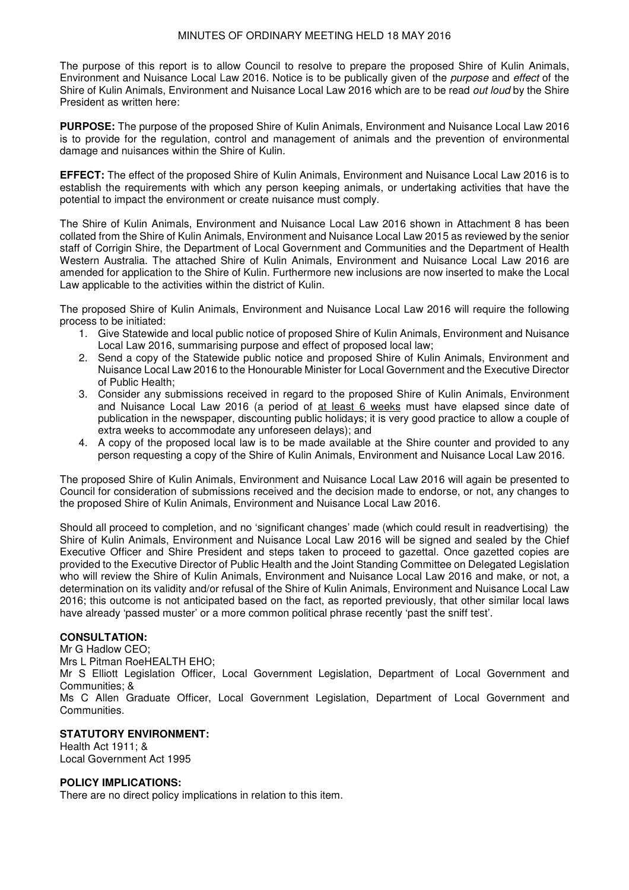The purpose of this report is to allow Council to resolve to prepare the proposed Shire of Kulin Animals, Environment and Nuisance Local Law 2016. Notice is to be publically given of the *purpose* and *effect* of the Shire of Kulin Animals, Environment and Nuisance Local Law 2016 which are to be read *out loud* by the Shire President as written here:

**PURPOSE:** The purpose of the proposed Shire of Kulin Animals, Environment and Nuisance Local Law 2016 is to provide for the regulation, control and management of animals and the prevention of environmental damage and nuisances within the Shire of Kulin.

**EFFECT:** The effect of the proposed Shire of Kulin Animals, Environment and Nuisance Local Law 2016 is to establish the requirements with which any person keeping animals, or undertaking activities that have the potential to impact the environment or create nuisance must comply.

The Shire of Kulin Animals, Environment and Nuisance Local Law 2016 shown in Attachment 8 has been collated from the Shire of Kulin Animals, Environment and Nuisance Local Law 2015 as reviewed by the senior staff of Corrigin Shire, the Department of Local Government and Communities and the Department of Health Western Australia. The attached Shire of Kulin Animals, Environment and Nuisance Local Law 2016 are amended for application to the Shire of Kulin. Furthermore new inclusions are now inserted to make the Local Law applicable to the activities within the district of Kulin.

The proposed Shire of Kulin Animals, Environment and Nuisance Local Law 2016 will require the following process to be initiated:

- 1. Give Statewide and local public notice of proposed Shire of Kulin Animals, Environment and Nuisance Local Law 2016, summarising purpose and effect of proposed local law;
- 2. Send a copy of the Statewide public notice and proposed Shire of Kulin Animals, Environment and Nuisance Local Law 2016 to the Honourable Minister for Local Government and the Executive Director of Public Health;
- 3. Consider any submissions received in regard to the proposed Shire of Kulin Animals, Environment and Nuisance Local Law 2016 (a period of at least 6 weeks must have elapsed since date of publication in the newspaper, discounting public holidays; it is very good practice to allow a couple of extra weeks to accommodate any unforeseen delays); and
- 4. A copy of the proposed local law is to be made available at the Shire counter and provided to any person requesting a copy of the Shire of Kulin Animals, Environment and Nuisance Local Law 2016.

The proposed Shire of Kulin Animals, Environment and Nuisance Local Law 2016 will again be presented to Council for consideration of submissions received and the decision made to endorse, or not, any changes to the proposed Shire of Kulin Animals, Environment and Nuisance Local Law 2016.

Should all proceed to completion, and no 'significant changes' made (which could result in readvertising) the Shire of Kulin Animals, Environment and Nuisance Local Law 2016 will be signed and sealed by the Chief Executive Officer and Shire President and steps taken to proceed to gazettal. Once gazetted copies are provided to the Executive Director of Public Health and the Joint Standing Committee on Delegated Legislation who will review the Shire of Kulin Animals, Environment and Nuisance Local Law 2016 and make, or not, a determination on its validity and/or refusal of the Shire of Kulin Animals, Environment and Nuisance Local Law 2016; this outcome is not anticipated based on the fact, as reported previously, that other similar local laws have already 'passed muster' or a more common political phrase recently 'past the sniff test'.

#### **CONSULTATION:**

Mr G Hadlow CEO; Mrs L Pitman RoeHEALTH EHO; Mr S Elliott Legislation Officer, Local Government Legislation, Department of Local Government and Communities; & Ms C Allen Graduate Officer, Local Government Legislation, Department of Local Government and Communities.

### **STATUTORY ENVIRONMENT:**

Health Act 1911; & Local Government Act 1995

#### **POLICY IMPLICATIONS:**

There are no direct policy implications in relation to this item.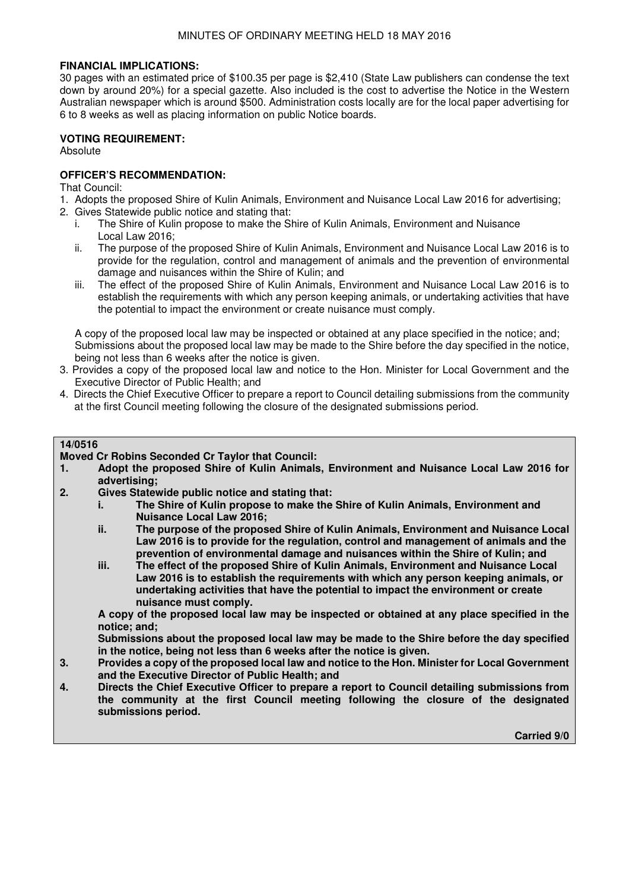#### **FINANCIAL IMPLICATIONS:**

30 pages with an estimated price of \$100.35 per page is \$2,410 (State Law publishers can condense the text down by around 20%) for a special gazette. Also included is the cost to advertise the Notice in the Western Australian newspaper which is around \$500. Administration costs locally are for the local paper advertising for 6 to 8 weeks as well as placing information on public Notice boards.

#### **VOTING REQUIREMENT:**

Absolute

### **OFFICER'S RECOMMENDATION:**

That Council:

- 1. Adopts the proposed Shire of Kulin Animals, Environment and Nuisance Local Law 2016 for advertising;
- 2. Gives Statewide public notice and stating that:
	- i. The Shire of Kulin propose to make the Shire of Kulin Animals, Environment and Nuisance Local Law 2016;
	- ii. The purpose of the proposed Shire of Kulin Animals, Environment and Nuisance Local Law 2016 is to provide for the regulation, control and management of animals and the prevention of environmental damage and nuisances within the Shire of Kulin; and
	- iii. The effect of the proposed Shire of Kulin Animals, Environment and Nuisance Local Law 2016 is to establish the requirements with which any person keeping animals, or undertaking activities that have the potential to impact the environment or create nuisance must comply.

A copy of the proposed local law may be inspected or obtained at any place specified in the notice; and; Submissions about the proposed local law may be made to the Shire before the day specified in the notice, being not less than 6 weeks after the notice is given.

- 3. Provides a copy of the proposed local law and notice to the Hon. Minister for Local Government and the Executive Director of Public Health; and
- 4. Directs the Chief Executive Officer to prepare a report to Council detailing submissions from the community at the first Council meeting following the closure of the designated submissions period.

#### **14/0516**

#### **Moved Cr Robins Seconded Cr Taylor that Council:**

- **1. Adopt the proposed Shire of Kulin Animals, Environment and Nuisance Local Law 2016 for advertising;**
- **2. Gives Statewide public notice and stating that:**
	- **i. The Shire of Kulin propose to make the Shire of Kulin Animals, Environment and Nuisance Local Law 2016;**
	- **ii. The purpose of the proposed Shire of Kulin Animals, Environment and Nuisance Local Law 2016 is to provide for the regulation, control and management of animals and the prevention of environmental damage and nuisances within the Shire of Kulin; and**
	- **iii. The effect of the proposed Shire of Kulin Animals, Environment and Nuisance Local Law 2016 is to establish the requirements with which any person keeping animals, or undertaking activities that have the potential to impact the environment or create nuisance must comply.**

 **A copy of the proposed local law may be inspected or obtained at any place specified in the notice; and;** 

 **Submissions about the proposed local law may be made to the Shire before the day specified in the notice, being not less than 6 weeks after the notice is given.** 

- **3. Provides a copy of the proposed local law and notice to the Hon. Minister for Local Government and the Executive Director of Public Health; and**
- **4. Directs the Chief Executive Officer to prepare a report to Council detailing submissions from the community at the first Council meeting following the closure of the designated submissions period.**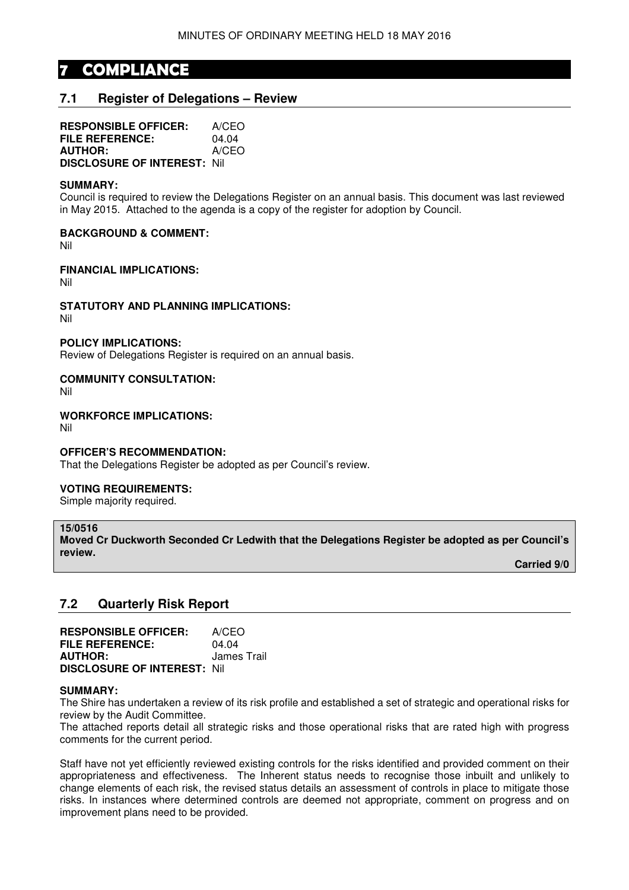# **7 COMPLIANCE**

# **7.1 Register of Delegations – Review**

**RESPONSIBLE OFFICER:** A/CEO **FILE REFERENCE:** 04.04 **AUTHOR:** A/CEO **DISCLOSURE OF INTEREST:** Nil

#### **SUMMARY:**

Council is required to review the Delegations Register on an annual basis. This document was last reviewed in May 2015. Attached to the agenda is a copy of the register for adoption by Council.

**BACKGROUND & COMMENT:** 

Nil

**FINANCIAL IMPLICATIONS:** 

Nil

**STATUTORY AND PLANNING IMPLICATIONS:** 

Nil

#### **POLICY IMPLICATIONS:**

Review of Delegations Register is required on an annual basis.

#### **COMMUNITY CONSULTATION:**

Nil

#### **WORKFORCE IMPLICATIONS:**

Nil

#### **OFFICER'S RECOMMENDATION:**

That the Delegations Register be adopted as per Council's review.

#### **VOTING REQUIREMENTS:**

Simple majority required.

#### **15/0516**

**Moved Cr Duckworth Seconded Cr Ledwith that the Delegations Register be adopted as per Council's review.** 

 **Carried 9/0** 

#### **7.2 Quarterly Risk Report**

**RESPONSIBLE OFFICER:** A/CEO<br>**FILE REFERENCE:** 04.04 **FILE REFERENCE: AUTHOR:** James Trail **DISCLOSURE OF INTEREST:** Nil

#### **SUMMARY:**

The Shire has undertaken a review of its risk profile and established a set of strategic and operational risks for review by the Audit Committee.

The attached reports detail all strategic risks and those operational risks that are rated high with progress comments for the current period.

Staff have not yet efficiently reviewed existing controls for the risks identified and provided comment on their appropriateness and effectiveness. The Inherent status needs to recognise those inbuilt and unlikely to change elements of each risk, the revised status details an assessment of controls in place to mitigate those risks. In instances where determined controls are deemed not appropriate, comment on progress and on improvement plans need to be provided.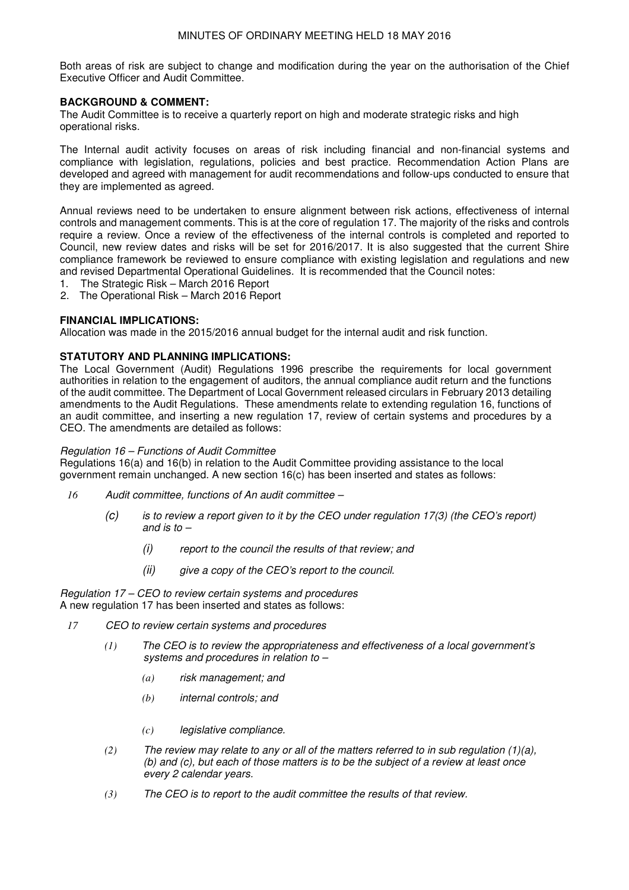Both areas of risk are subject to change and modification during the year on the authorisation of the Chief Executive Officer and Audit Committee.

#### **BACKGROUND & COMMENT:**

The Audit Committee is to receive a quarterly report on high and moderate strategic risks and high operational risks.

The Internal audit activity focuses on areas of risk including financial and non-financial systems and compliance with legislation, regulations, policies and best practice. Recommendation Action Plans are developed and agreed with management for audit recommendations and follow-ups conducted to ensure that they are implemented as agreed.

Annual reviews need to be undertaken to ensure alignment between risk actions, effectiveness of internal controls and management comments. This is at the core of regulation 17. The majority of the risks and controls require a review. Once a review of the effectiveness of the internal controls is completed and reported to Council, new review dates and risks will be set for 2016/2017. It is also suggested that the current Shire compliance framework be reviewed to ensure compliance with existing legislation and regulations and new and revised Departmental Operational Guidelines. It is recommended that the Council notes:

- 1. The Strategic Risk March 2016 Report
- 2. The Operational Risk March 2016 Report

#### **FINANCIAL IMPLICATIONS:**

Allocation was made in the 2015/2016 annual budget for the internal audit and risk function.

#### **STATUTORY AND PLANNING IMPLICATIONS:**

The Local Government (Audit) Regulations 1996 prescribe the requirements for local government authorities in relation to the engagement of auditors, the annual compliance audit return and the functions of the audit committee. The Department of Local Government released circulars in February 2013 detailing amendments to the Audit Regulations. These amendments relate to extending regulation 16, functions of an audit committee, and inserting a new regulation 17, review of certain systems and procedures by a CEO. The amendments are detailed as follows:

#### *Regulation 16 – Functions of Audit Committee*

Regulations 16(a) and 16(b) in relation to the Audit Committee providing assistance to the local government remain unchanged. A new section 16(c) has been inserted and states as follows:

- *16 Audit committee, functions of An audit committee –*
	- *(c) is to review a report given to it by the CEO under regulation 17(3) (the CEO's report) and is to –*
		- *(i) report to the council the results of that review; and*
		- *(ii) give a copy of the CEO's report to the council.*

*Regulation 17 – CEO to review certain systems and procedures* A new regulation 17 has been inserted and states as follows:

- *17 CEO to review certain systems and procedures*
	- *(1) The CEO is to review the appropriateness and effectiveness of a local government's systems and procedures in relation to –*
		- *(a) risk management; and*
		- *(b) internal controls; and*
		- *(c) legislative compliance.*
	- *(2) The review may relate to any or all of the matters referred to in sub regulation (1)(a), (b) and (c), but each of those matters is to be the subject of a review at least once every 2 calendar years.*
	- *(3) The CEO is to report to the audit committee the results of that review.*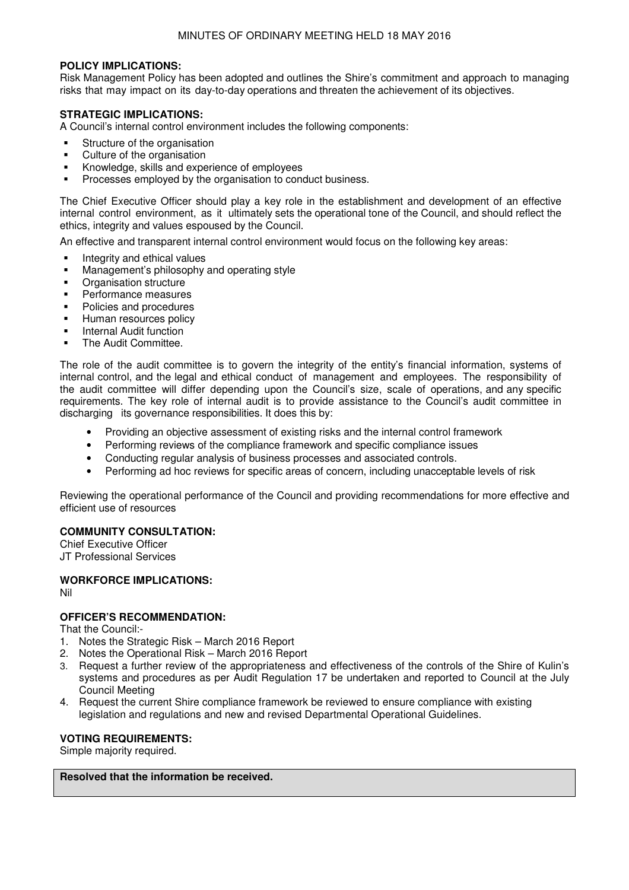#### **POLICY IMPLICATIONS:**

Risk Management Policy has been adopted and outlines the Shire's commitment and approach to managing risks that may impact on its day-to-day operations and threaten the achievement of its objectives.

#### **STRATEGIC IMPLICATIONS:**

A Council's internal control environment includes the following components:

- Structure of the organisation<br>Culture of the organisation
- Culture of the organisation
- Knowledge, skills and experience of employees
- Processes employed by the organisation to conduct business.

The Chief Executive Officer should play a key role in the establishment and development of an effective internal control environment, as it ultimately sets the operational tone of the Council, and should reflect the ethics, integrity and values espoused by the Council.

An effective and transparent internal control environment would focus on the following key areas:

- **Integrity and ethical values**
- Management's philosophy and operating style
- Organisation structure
- Performance measures
- Policies and procedures
- Human resources policy
- Internal Audit function
- The Audit Committee.

The role of the audit committee is to govern the integrity of the entity's financial information, systems of internal control, and the legal and ethical conduct of management and employees. The responsibility of the audit committee will differ depending upon the Council's size, scale of operations, and any specific requirements. The key role of internal audit is to provide assistance to the Council's audit committee in discharging its governance responsibilities. It does this by:

- Providing an objective assessment of existing risks and the internal control framework
- Performing reviews of the compliance framework and specific compliance issues
- Conducting regular analysis of business processes and associated controls.
- Performing ad hoc reviews for specific areas of concern, including unacceptable levels of risk

Reviewing the operational performance of the Council and providing recommendations for more effective and efficient use of resources

#### **COMMUNITY CONSULTATION:**

Chief Executive Officer JT Professional Services

#### **WORKFORCE IMPLICATIONS:**

Nil

#### **OFFICER'S RECOMMENDATION:**

That the Council:-

- 1. Notes the Strategic Risk March 2016 Report
- 2. Notes the Operational Risk March 2016 Report
- 3. Request a further review of the appropriateness and effectiveness of the controls of the Shire of Kulin's systems and procedures as per Audit Regulation 17 be undertaken and reported to Council at the July Council Meeting
- 4. Request the current Shire compliance framework be reviewed to ensure compliance with existing legislation and regulations and new and revised Departmental Operational Guidelines.

#### **VOTING REQUIREMENTS:**

Simple majority required.

**Resolved that the information be received.**